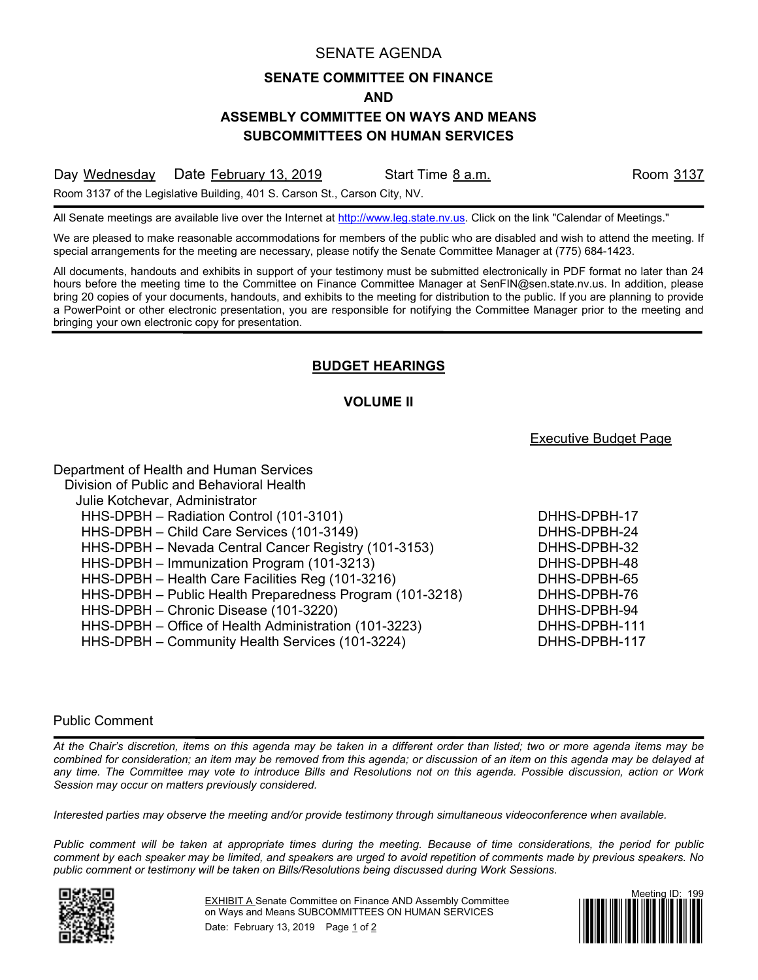### SENATE AGENDA

## **SENATE COMMITTEE ON FINANCE**

**AND**

# **ASSEMBLY COMMITTEE ON WAYS AND MEANS**

**SUBCOMMITTEES ON HUMAN SERVICES**

Day Wednesday Date February 13, 2019 Start Time 8 a.m. Start Room 3137

Room 3137 of the Legislative Building, 401 S. Carson St., Carson City, NV.

All Senate meetings are available live over the Internet at [http://www.leg.state.nv.us.](http://www.leg.state.nv.us/) Click on the link "Calendar of Meetings."

We are pleased to make reasonable accommodations for members of the public who are disabled and wish to attend the meeting. If special arrangements for the meeting are necessary, please notify the Senate Committee Manager at (775) 684-1423.

All documents, handouts and exhibits in support of your testimony must be submitted electronically in PDF format no later than 24 hours before the meeting time to the Committee on Finance Committee Manager at SenFIN@sen.state.nv.us. In addition, please bring 20 copies of your documents, handouts, and exhibits to the meeting for distribution to the public. If you are planning to provide a PowerPoint or other electronic presentation, you are responsible for notifying the Committee Manager prior to the meeting and bringing your own electronic copy for presentation.

# **BUDGET HEARINGS**

## **VOLUME II**

## Executive Budget Page

| Department of Health and Human Services                  |               |
|----------------------------------------------------------|---------------|
| Division of Public and Behavioral Health                 |               |
| Julie Kotchevar, Administrator                           |               |
| HHS-DPBH - Radiation Control (101-3101)                  | DHHS-DPBH-17  |
| HHS-DPBH - Child Care Services (101-3149)                | DHHS-DPBH-24  |
| HHS-DPBH - Nevada Central Cancer Registry (101-3153)     | DHHS-DPBH-32  |
| HHS-DPBH - Immunization Program (101-3213)               | DHHS-DPBH-48  |
| HHS-DPBH - Health Care Facilities Reg (101-3216)         | DHHS-DPBH-65  |
| HHS-DPBH - Public Health Preparedness Program (101-3218) | DHHS-DPBH-76  |
| HHS-DPBH - Chronic Disease (101-3220)                    | DHHS-DPBH-94  |
| HHS-DPBH - Office of Health Administration (101-3223)    | DHHS-DPBH-111 |
| HHS-DPBH - Community Health Services (101-3224)          | DHHS-DPBH-117 |

#### Public Comment

*At the Chair's discretion, items on this agenda may be taken in a different order than listed; two or more agenda items may be combined for consideration; an item may be removed from this agenda; or discussion of an item on this agenda may be delayed at any time. The Committee may vote to introduce Bills and Resolutions not on this agenda. Possible discussion, action or Work Session may occur on matters previously considered.*

*Interested parties may observe the meeting and/or provide testimony through simultaneous videoconference when available.*

*Public comment will be taken at appropriate times during the meeting. Because of time considerations, the period for public comment by each speaker may be limited, and speakers are urged to avoid repetition of comments made by previous speakers. No public comment or testimony will be taken on Bills/Resolutions being discussed during Work Sessions.*



EXHIBIT A Senate Committee on Finance AND Assembly Committee on Ways and Means SUBCOMMITTEES ON HUMAN SERVICES Date: February 13, 2019 Page 1 of 2